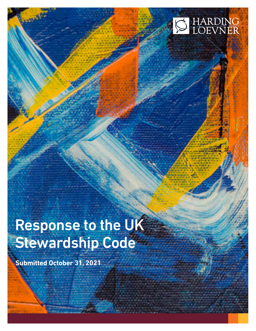# HARDING<br>LOEVNER

## **Response to the UK** Stewardship Code

Ctrl Win / Mac + Shift +

**Submitted October 31, 2021**

Click to Edith.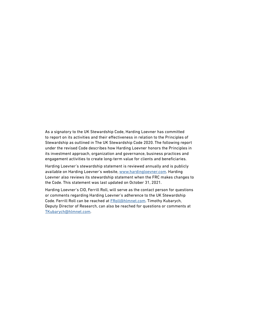As a signatory to the UK Stewardship Code, Harding Loevner has committed to report on its activities and their effectiveness in relation to the Principles of Stewardship as outlined in The UK Stewardship Code 2020. The following report under the revised Code describes how Harding Loevner honors the Principles in its investment approach, organization and governance, business practices and engagement activities to create long-term value for clients and beneficiaries.

Harding Loevner's stewardship statement is reviewed annually and is publicly available on Harding Loevner's website, [www.hardingloevner.com.](http://www.hardingloevner.com) Harding Loevner also reviews its stewardship statement when the FRC makes changes to the Code. This statement was last updated on October 31, 2021.

Harding Loevner's CIO, Ferrill Roll, will serve as the contact person for questions or comments regarding Harding Loevner's adherence to the UK Stewardship Code. Ferrill Roll can be reached at [FRoll@hlmnet.com.](mailto:FRoll@hlmnet.com) Timothy Kubarych, Deputy Director of Research, can also be reached for questions or comments at [TKubarych@hlmnet.com](mailto:TKubarych@hlmnet.com).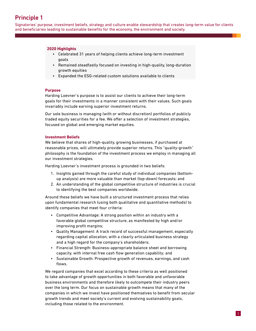### Principle 1

Signatories' purpose, investment beliefs, strategy and culture enable stewardship that creates long-term value for clients and beneficiaries leading to sustainable benefits for the economy, the environment and society.

### **2020 Highlights**

- Celebrated 31 years of helping clients achieve long-term investment goals
- Remained steadfastly focused on investing in high-quality, long-duration growth equities
- Expanded the ESG-related custom solutions available to clients

### **Purpose**

Harding Loevner's purpose is to assist our clients to achieve their long-term goals for their investments in a manner consistent with their values. Such goals invariably include earning superior investment returns.

Our sole business is managing (with or without discretion) portfolios of publicly traded equity securities for a fee. We offer a selection of investment strategies, focused on global and emerging market equities.

### **Investment Beliefs**

We believe that shares of high-quality, growing businesses, if purchased at reasonable prices, will ultimately provide superior returns. This "quality-growth" philosophy is the foundation of the investment process we employ in managing all our investment strategies.

Harding Loevner's investment process is grounded in two beliefs:

- 1. Insights gained through the careful study of individual companies (bottomup analysis) are more valuable than market (top-down) forecasts; and
- 2. An understanding of the global competitive structure of industries is crucial to identifying the best companies worldwide.

Around these beliefs we have built a structured investment process that relies upon fundamental research (using both qualitative and quantitative methods) to identify companies that meet four criteria:

- Competitive Advantage: A strong position within an industry with a favorable global competitive structure, as manifested by high and/or improving profit margins;
- Quality Management: A track record of successful management, especially regarding capital allocation, with a clearly articulated business strategy and a high regard for the company's shareholders;
- Financial Strength: Business-appropriate balance sheet and borrowing capacity, with internal free cash flow generation capability; and
- Sustainable Growth: Prospective growth of revenues, earnings, and cash flows.

We regard companies that excel according to these criteria as well positioned to take advantage of growth opportunities in both favorable and unfavorable business environments and therefore likely to outcompete their industry peers over the long term. Our focus on sustainable growth means that many of the companies in which we invest have positioned themselves to benefit from secular growth trends and meet society's current and evolving sustainability goals, including those related to the environment.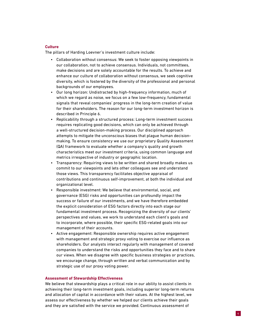### **Culture**

The pillars of Harding Loevner's investment culture include:

- Collaboration without consensus: We seek to foster opposing viewpoints in our collaboration, not to achieve consensus. Individuals, not committees, make decisions and are solely accountable for the results. To achieve and enhance our culture of collaboration without consensus, we seek cognitive diversity, which is fostered by the diversity of the professional and personal backgrounds of our employees.
- Our long horizon: Undistracted by high-frequency information, much of which we regard as noise, we focus on a few low-frequency, fundamental signals that reveal companies' progress in the long-term creation of value for their shareholders. The reason for our long-term investment horizon is described in Principle 6.
- Replicability through a structured process: Long-term investment success requires replicating good decisions, which can only be achieved through a well-structured decision-making process. Our disciplined approach attempts to mitigate the unconscious biases that plague human decisionmaking. To ensure consistency we use our proprietary Quality Assessment (QA) framework to evaluate whether a company's quality and growth characteristics meet our investment criteria, using common language and metrics irrespective of industry or geographic location.
- Transparency: Requiring views to be written and shared broadly makes us commit to our viewpoints and lets other colleagues see and understand those views. This transparency facilitates objective appraisal of contributions and continuous self-improvement, at both the individual and organizational level.
- Responsible investment: We believe that environmental, social, and governance (ESG) risks and opportunities can profoundly impact the success or failure of our investments, and we have therefore embedded the explicit consideration of ESG factors directly into each stage our fundamental investment process. Recognizing the diversity of our clients' perspectives and values, we work to understand each client's goals and to incorporate, where possible, their specific ESG-related goals into our management of their accounts.
- Active engagement: Responsible ownership requires active engagement with management and strategic proxy voting to exercise our influence as shareholders. Our analysts interact regularly with management of covered companies to understand the risks and opportunities they face and to share our views. When we disagree with specific business strategies or practices, we encourage change, through written and verbal communication and by strategic use of our proxy voting power.

### **Assessment of Stewardship Effectiveness**

We believe that stewardship plays a critical role in our ability to assist clients in achieving their long-term investment goals, including superior long-term returns and allocation of capital in accordance with their values. At the highest level, we assess our effectiveness by whether we helped our clients achieve their goals and they are satisfied with the service we provided. Continuous assessment of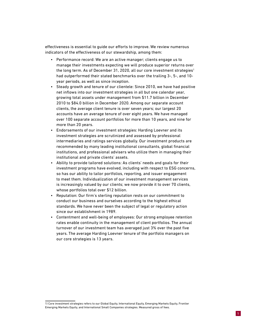effectiveness is essential to guide our efforts to improve. We review numerous indicators of the effectiveness of our stewardship, among them:

- Performance record: We are an active manager; clients engage us to manage their investments expecting we will produce superior returns over the long term. As of December 31, 2020, all our core investment strategies<sup>1</sup> had outperformed their stated benchmarks over the trailing 3-, 5-, and 10 year periods, as well as since inception.
- Steady growth and tenure of our clientele: Since 2010, we have had positive net inflows into our investment strategies in all but one calendar year, growing total assets under management from \$11.7 billion in December 2010 to \$84.0 billion in December 2020. Among our separate account clients, the average client tenure is over seven years; our largest 20 accounts have an average tenure of over eight years. We have managed over 100 separate account portfolios for more than 10 years, and nine for more than 20 years.
- Endorsements of our investment strategies: Harding Loevner and its investment strategies are scrutinized and assessed by professional intermediaries and ratings services globally. Our investment products are recommended by many leading institutional consultants, global financial institutions, and professional advisers who utilize them in managing their institutional and private clients' assets.
- Ability to provide tailored solutions: As clients' needs and goals for their investment programs have evolved, including with respect to ESG concerns, so has our ability to tailor portfolios, reporting, and issuer engagement to meet them. Individualization of our investment management services is increasingly valued by our clients; we now provide it to over 70 clients, whose portfolios total over \$12 billion.
- Reputation: Our firm's sterling reputation rests on our commitment to conduct our business and ourselves according to the highest ethical standards. We have never been the subject of legal or regulatory action since our establishment in 1989.
- Contentment and well-being of employees: Our strong employee retention rates enable continuity in the management of client portfolios. The annual turnover of our investment team has averaged just 3% over the past five years. The average Harding Loevner tenure of the portfolio managers on our core strategies is 13 years.

<sup>1)</sup> Core investment strategies refers to our Global Equity, International Equity, Emerging Markets Equity, Frontier Emerging Markets Equity, and International Small Companies strategies. Measured gross of fees.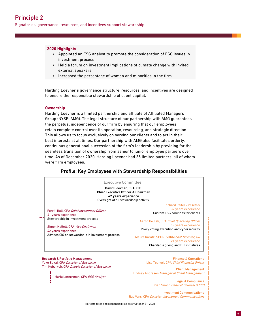Signatories' governance, resources, and incentives support stewardship.

### **2020 Highlights**

- Appointed an ESG analyst to promote the consideration of ESG issues in investment process
- Held a forum on investment implications of climate change with invited external speakers
- Increased the percentage of women and minorities in the firm

Harding Loevner's governance structure, resources, and incentives are designed to ensure the responsible stewardship of client capital.

### **Ownership**

Harding Loevner is a limited partnership and affiliate of Affiliated Managers Group (NYSE: AMG). The legal structure of our partnership with AMG guarantees the perpetual independence of our firm by ensuring that our employees retain complete control over its operation, resourcing, and strategic direction. This allows us to focus exclusively on serving our clients and to act in their best interests at all times. Our partnership with AMG also facilitates orderly, continuous generational succession of the firm's leadership by providing for the seamless transition of ownership from senior to junior employee partners over time. As of December 2020, Harding Loevner had 35 limited partners, all of whom were firm employees.

### Profile: Key Employees with Stewardship Responsibilities



Investment Communications Ray Vars, CFA Director, Investment Communications

Reflects titles and responsibilities as of October 31, 2021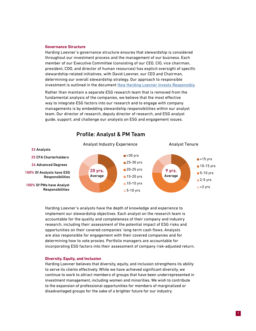### **Governance Structure**

Harding Loevner's governance structure ensures that stewardship is considered throughout our investment process and the management of our business. Each member of our Executive Committee (consisting of our CEO, CIO, vice chairman, president, COO, and director of human resources) has explicit oversight of specific stewardship-related initiatives, with David Loevner, our CEO and Chairman, determining our overall stewardship strategy. Our approach to responsible investment is outlined in the document [How Harding Loevner Invests Responsibly](https://media.hardingloevner.com/fileadmin/pdf/How-Harding-Loevner-Invests-Responsibly.pdf).

Rather than maintain a separate ESG research team that is removed from the fundamental analysis of the companies, we believe that the most effective way to integrate ESG factors into our research and to engage with company managements is by embedding stewardship responsibilities within our analyst team. Our director of research, deputy director of research, and ESG analyst guide, support, and challenge our analysts on ESG and engagement issues.



### Profile: Analyst & PM Team

Harding Loevner's analysts have the depth of knowledge and experience to implement our stewardship objectives. Each analyst on the research team is accountable for the quality and completeness of their company and industry research, including their assessment of the potential impact of ESG risks and opportunities on their covered companies' long-term cash flows. Analysts are also responsible for engagement with their covered companies and for determining how to vote proxies. Portfolio managers are accountable for incorporating ESG factors into their assessment of company risk-adjusted return.

### **Diversity, Equity, and Inclusion**

Harding Loevner believes that diversity, equity, and inclusion strengthens its ability to serve its clients effectively. While we have achieved significant diversity, we continue to work to attract members of groups that have been underrepresented in investment management, including women and minorities. We wish to contribute to the expansion of professional opportunities for members of marginalized or disadvantaged groups for the sake of a brighter future for our industry.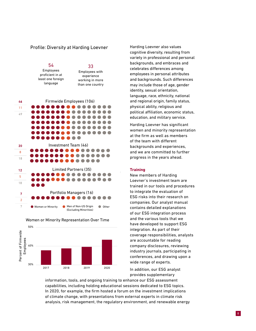### Profile: Diversity at Harding Loevner







### Women or Minority Representation Over Time

Harding Loevner also values cognitive diversity, resulting from variety in professional and personal backgrounds, and embraces and celebrates differences among employees in personal attributes and backgrounds. Such differences may include those of age, gender identity, sexual orientation, language, race, ethnicity, national and regional origin, family status, physical ability, religious and political affiliation, economic status, education, and military service.

Harding Loevner has significant women and minority representation at the firm as well as members of the team with different backgrounds and experiences, and we are committed to further progress in the years ahead.

### **Training**

New members of Harding Loevner's investment team are trained in our tools and procedures to integrate the evaluation of ESG risks into their research on companies. Our analyst manual contains detailed explanations of our ESG integration process and the various tools that we have developed to support ESG integration. As part of their coverage responsibilities, analysts are accountable for reading company disclosures, reviewing industry journals, participating in conferences, and drawing upon a wide range of experts.

In addition, our ESG analyst provides supplementary

information, tools, and ongoing training to enhance our ESG assessment capabilities, including holding educational sessions dedicated to ESG topics. In 2020, for example, the firm hosted a forum on the investment implications of climate change, with presentations from external experts in climate risk analysis, risk management, the regulatory environment, and renewable energy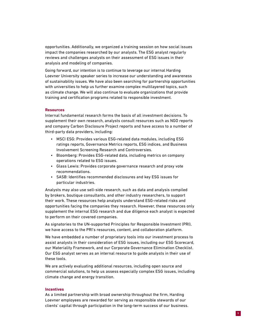opportunities. Additionally, we organized a training session on how social issues impact the companies researched by our analysts. The ESG analyst regularly reviews and challenges analysts on their assessment of ESG issues in their analysis and modeling of companies.

Going forward, our intention is to continue to leverage our internal Harding Loevner University speaker series to increase our understanding and awareness of sustainability issues. We have also been searching for partnership opportunities with universities to help us further examine complex multilayered topics, such as climate change. We will also continue to evaluate organizations that provide training and certification programs related to responsible investment.

### **Resources**

Internal fundamental research forms the basis of all investment decisions. To supplement their own research, analysts consult resources such as NGO reports and company Carbon Disclosure Project reports and have access to a number of third-party data providers, including:

- MSCI ESG: Provides various ESG-related data modules, including ESG ratings reports, Governance Metrics reports, ESG indices, and Business Involvement Screening Research and Controversies.
- Bloomberg: Provides ESG-related data, including metrics on company operations related to ESG issues.
- Glass Lewis: Provides corporate governance research and proxy vote recommendations.
- SASB: Identifies recommended disclosures and key ESG issues for particular industries.

Analysts may also use sell-side research, such as data and analysis compiled by brokers, boutique consultants, and other industry researchers, to support their work. These resources help analysts understand ESG-related risks and opportunities facing the companies they research. However, these resources only supplement the internal ESG research and due diligence each analyst is expected to perform on their covered companies.

As signatories to the UN-supported Principles for Responsible Investment (PRI), we have access to the PRI's resources, content, and collaboration platform.

We have embedded a number of proprietary tools into our investment process to assist analysts in their consideration of ESG issues, including our ESG Scorecard, our Materiality Framework, and our Corporate Governance Elimination Checklist. Our ESG analyst serves as an internal resource to guide analysts in their use of these tools.

We are actively evaluating additional resources, including open source and commercial solutions, to help us assess especially complex ESG issues, including climate change and energy transition.

### **Incentives**

As a limited partnership with broad ownership throughout the firm, Harding Loevner employees are rewarded for serving as responsible stewards of our clients' capital through participation in the long-term success of our business.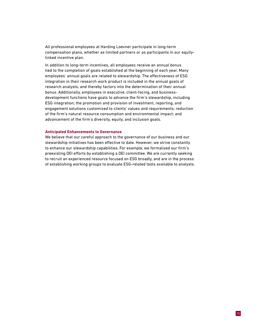All professional employees at Harding Loevner participate in long-term compensation plans, whether as limited partners or as participants in our equitylinked incentive plan.

In addition to long-term incentives, all employees receive an annual bonus tied to the completion of goals established at the beginning of each year. Many employees' annual goals are related to stewardship. The effectiveness of ESG integration in their research work product is included in the annual goals of research analysts, and thereby factors into the determination of their annual bonus. Additionally, employees in executive, client-facing, and businessdevelopment functions have goals to advance the firm's stewardship, including ESG integration; the promotion and provision of investment, reporting, and engagement solutions customized to clients' values and requirements; reduction of the firm's natural resource consumption and environmental impact; and advancement of the firm's diversity, equity, and inclusion goals.

### **Anticipated Enhancements to Governance**

We believe that our careful approach to the governance of our business and our stewardship initiatives has been effective to date. However, we strive constantly to enhance our stewardship capabilities. For example, we formalized our firm's preexisting DEI efforts by establishing a DEI committee. We are currently seeking to recruit an experienced resource focused on ESG broadly, and are in the process of establishing working groups to evaluate ESG-related tools available to analysts.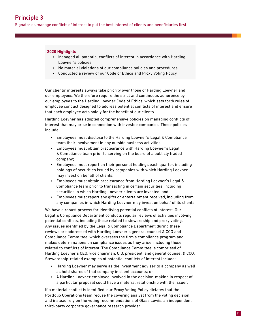Signatories manage conflicts of interest to put the best interest of clients and beneficiaries first.

### **2020 Highlights**

- Managed all potential conflicts of interest in accordance with Harding Loevner's policies
- No material violations of our compliance policies and procedures
- Conducted a review of our Code of Ethics and Proxy Voting Policy

Our clients' interests always take priority over those of Harding Loevner and our employees. We therefore require the strict and continuous adherence by our employees to the Harding Loevner Code of Ethics, which sets forth rules of employee conduct designed to address potential conflicts of interest and ensure that each employee acts solely for the benefit of our clients.

Harding Loevner has adopted comprehensive policies on managing conflicts of interest that may arise in connection with investee companies. These policies include:

- Employees must disclose to the Harding Loevner's Legal & Compliance team their involvement in any outside business activities;
- Employees must obtain preclearance with Harding Loevner's Legal & Compliance team prior to serving on the board of a publicly traded company;
- Employees must report on their personal holdings each quarter, including holdings of securities issued by companies with which Harding Loevner may invest on behalf of clients;
- Employees must obtain preclearance from Harding Loevner's Legal & Compliance team prior to transacting in certain securities, including securities in which Harding Loevner clients are invested; and
- Employees must report any gifts or entertainment received, including from any companies in which Harding Loevner may invest on behalf of its clients.

We have a robust process for identifying potential conflicts of interest. Our Legal & Compliance Department conducts regular reviews of activities involving potential conflicts, including those related to stewardship and proxy voting. Any issues identified by the Legal & Compliance Department during these reviews are addressed with Harding Loevner's general counsel & CCO and Compliance Committee, which oversees the firm's compliance program and makes determinations on compliance issues as they arise, including those related to conflicts of interest. The Compliance Committee is comprised of Harding Loevner's CEO, vice chairman, CIO, president, and general counsel & CCO. Stewardship-related examples of potential conflicts of interest include:

- Harding Loevner may serve as the investment adviser to a company as well as hold shares of that company in client accounts; or
- A Harding Loevner employee involved in the decision-making in respect of a particular proposal could have a material relationship with the issuer.

If a material conflict is identified, our Proxy Voting Policy dictates that the Portfolio Operations team recuse the covering analyst from the voting decision and instead rely on the voting recommendations of Glass Lewis, an independent third-party corporate governance research provider.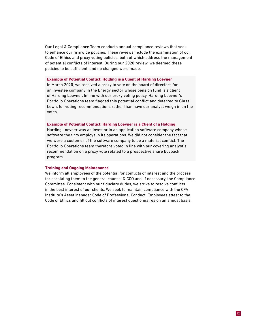Our Legal & Compliance Team conducts annual compliance reviews that seek to enhance our firmwide policies. These reviews include the examination of our Code of Ethics and proxy voting policies, both of which address the management of potential conflicts of interest. During our 2020 review, we deemed these policies to be sufficient, and no changes were made.

### **Example of Potential Conflict: Holding is a Client of Harding Loevner**

In March 2020, we received a proxy to vote on the board of directors for an investee company in the Energy sector whose pension fund is a client of Harding Loevner. In line with our proxy voting policy, Harding Loevner's Portfolio Operations team flagged this potential conflict and deferred to Glass Lewis for voting recommendations rather than have our analyst weigh in on the votes.

### **Example of Potential Conflict: Harding Loevner is a Client of a Holding**

Harding Loevner was an investor in an application software company whose software the firm employs in its operations. We did not consider the fact that we were a customer of the software company to be a material conflict. The Portfolio Operations team therefore voted in line with our covering analyst's recommendation on a proxy vote related to a prospective share buyback program.

### **Training and Ongoing Maintenance**

We inform all employees of the potential for conflicts of interest and the process for escalating them to the general counsel & CCO and, if necessary, the Compliance Committee. Consistent with our fiduciary duties, we strive to resolve conflicts in the best interest of our clients. We seek to maintain compliance with the CFA Institute's Asset Manager Code of Professional Conduct. Employees attest to the Code of Ethics and fill out conflicts of interest questionnaires on an annual basis.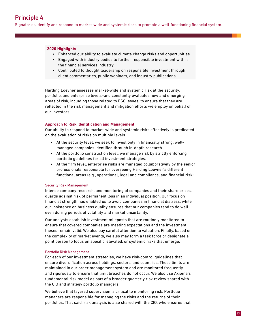Signatories identify and respond to market-wide and systemic risks to promote a well-functioning financial system.

### **2020 Highlights**

- Enhanced our ability to evaluate climate change risks and opportunities
- Engaged with industry bodies to further responsible investment within the financial services industry
- Contributed to thought leadership on responsible investment through client commentaries, public webinars, and industry publications

Harding Loevner assesses market-wide and systemic risk at the security, portfolio, and enterprise levels–and constantly evaluates new and emerging areas of risk, including those related to ESG issues, to ensure that they are reflected in the risk management and mitigation efforts we employ on behalf of our investors.

### **Approach to Risk Identification and Management**

Our ability to respond to market-wide and systemic risks effectively is predicated on the evaluation of risks on multiple levels.

- At the security level, we seek to invest only in financially strong, wellmanaged companies identified through in-depth research.
- At the portfolio construction level, we manage risk by strictly enforcing portfolio guidelines for all investment strategies.
- At the firm level, enterprise risks are managed collaboratively by the senior professionals responsible for overseeing Harding Loevner's different functional areas (e.g., operational, legal and compliance, and financial risk).

### Security Risk Management

Intense company research, and monitoring of companies and their share prices, guards against risk of permanent loss in an individual position. Our focus on financial strength has enabled us to avoid companies in financial distress, while our insistence on business quality ensures that our companies tend to do well even during periods of volatility and market uncertainty.

Our analysts establish investment mileposts that are routinely monitored to ensure that covered companies are meeting expectations and the investment theses remain valid. We also pay careful attention to valuation. Finally, based on the complexity of market events, we also may form a task force or designate a point person to focus on specific, elevated, or systemic risks that emerge.

### Portfolio Risk Management

For each of our investment strategies, we have risk-control guidelines that ensure diversification across holdings, sectors, and countries. These limits are maintained in our order management system and are monitored frequently and rigorously to ensure that limit breaches do not occur. We also use Axioma's fundamental risk model as part of a broader quarterly risk review shared with the CIO and strategy portfolio managers.

We believe that layered supervision is critical to monitoring risk. Portfolio managers are responsible for managing the risks and the returns of their portfolios. That said, risk analysis is also shared with the CIO, who ensures that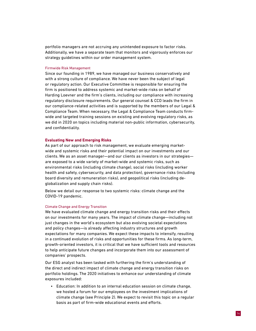portfolio managers are not accruing any unintended exposure to factor risks. Additionally, we have a separate team that monitors and vigorously enforces our strategy guidelines within our order management system.

### Firmwide Risk Management

Since our founding in 1989, we have managed our business conservatively and with a strong culture of compliance. We have never been the subject of legal or regulatory action. Our Executive Committee is responsible for ensuring the firm is positioned to address systemic and market-wide risks on behalf of Harding Loevner and the firm's clients, including our compliance with increasing regulatory disclosure requirements. Our general counsel & CCO leads the firm in our compliance-related activities and is supported by the members of our Legal & Compliance Team. When necessary, the Legal & Compliance Team conducts firmwide and targeted training sessions on existing and evolving regulatory risks, as we did in 2020 on topics including material non-public information, cybersecurity, and confidentiality.

### **Evaluating New and Emerging Risks**

As part of our approach to risk management, we evaluate emerging marketwide and systemic risks and their potential impact on our investments and our clients. We as an asset manager—and our clients as investors in our strategies are exposed to a wide variety of market-wide and systemic risks, such as environmental risks (including climate change), social risks (including worker health and safety, cybersecurity, and data protection), governance risks (including board diversity and remuneration risks), and geopolitical risks (including deglobalization and supply chain risks).

Below we detail our response to two systemic risks: climate change and the COVID-19 pandemic.

### Climate Change and Energy Transition

We have evaluated climate change and energy transition risks and their effects on our investments for many years. The impact of climate change—including not just changes in the world's ecosystem but also evolving societal expectations and policy changes—is already affecting industry structures and growth expectations for many companies. We expect these impacts to intensify, resulting in a continued evolution of risks and opportunities for these firms. As long-term, growth-oriented investors, it is critical that we have sufficient tools and resources to help anticipate future changes and incorporate them into our assessment of companies' prospects.

Our ESG analyst has been tasked with furthering the firm's understanding of the direct and indirect impact of climate change and energy transition risks on portfolio holdings. The 2020 initiatives to enhance our understanding of climate exposures included:

• Education: In addition to an internal education session on climate change, we hosted a forum for our employees on the investment implications of climate change (see Principle 2). We expect to revisit this topic on a regular basis as part of firm-wide educational events and efforts.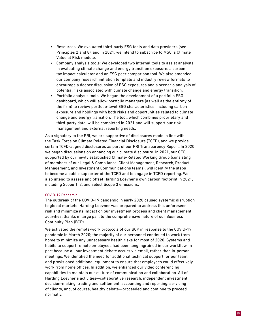- Resources: We evaluated third-party ESG tools and data providers (see Principles 2 and 8), and in 2021, we intend to subscribe to MSCI's Climate Value at Risk module.
- Company analysis tools: We developed two internal tools to assist analysts in evaluating climate change and energy transition exposure: a carbon tax impact calculator and an ESG peer comparison tool. We also amended our company research initiation template and industry review formats to encourage a deeper discussion of ESG exposures and a scenario analysis of potential risks associated with climate change and energy transition.
- Portfolio analysis tools: We began the development of a portfolio ESG dashboard, which will allow portfolio managers (as well as the entirety of the firm) to review portfolio-level ESG characteristics, including carbon exposure and holdings with both risks and opportunities related to climate change and energy transition. The tool, which combines proprietary and third-party data, will be completed in 2021 and will support our risk management and external reporting needs.

As a signatory to the PRI, we are supportive of disclosures made in line with the Task Force on Climate Related Financial Disclosure (TCFD), and we provide certain TCFD-aligned disclosures as part of our PRI Transparency Report. In 2020, we began discussions on enhancing our climate disclosure. In 2021, our CFO, supported by our newly established Climate-Related Working Group (consisting of members of our Legal & Compliance, Client Management, Research, Product Management, and Investment Communications teams), will identify the steps to become a public supporter of the TCFD and to engage in TCFD reporting. We also intend to assess and offset Harding Loevner's own carbon footprint in 2021, including Scope 1, 2, and select Scope 3 emissions.

### COVID-19 Pandemic

The outbreak of the COVID-19 pandemic in early 2020 caused systemic disruption to global markets. Harding Loevner was prepared to address this unforeseen risk and minimize its impact on our investment process and client management activities, thanks in large part to the comprehensive nature of our Business Continuity Plan (BCP).

We activated the remote-work protocols of our BCP in response to the COVID-19 pandemic in March 2020; the majority of our personnel continued to work from home to minimize any unnecessary health risks for most of 2020. Systems and habits to support remote employees had been long ingrained in our workflow, in part because all our investment debate occurs via email, rather than in-person meetings. We identified the need for additional technical support for our team, and provisioned additional equipment to ensure that employees could effectively work from home offices. In addition, we enhanced our video conferencing capabilities to maintain our culture of communication and collaboration. All of Harding Loevner's activities—collaborative research, independent investment decision-making, trading and settlement, accounting and reporting, servicing of clients, and, of course, healthy debate—proceeded and continue to proceed normally.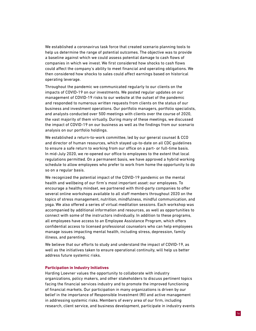We established a coronavirus task force that created scenario planning tools to help us determine the range of potential outcomes. The objective was to provide a baseline against which we could assess potential damage to cash flows of companies in which we invest. We first considered how shocks to cash flows could affect the company's ability to meet financial and operating obligations. We then considered how shocks to sales could affect earnings based on historical operating leverage.

Throughout the pandemic we communicated regularly to our clients on the impacts of COVID-19 on our investments. We posted regular updates on our management of COVID-19 risks to our website at the outset of the pandemic and responded to numerous written requests from clients on the status of our business and investment operations. Our portfolio managers, portfolio specialists, and analysts conducted over 500 meetings with clients over the course of 2020, the vast majority of them virtually. During many of these meetings, we discussed the impact of COVID-19 on our business as well as the findings from our scenario analysis on our portfolio holdings.

We established a return-to-work committee, led by our general counsel & CCO and director of human resources, which stayed up-to-date on all CDC guidelines to ensure a safe return to working from our office on a part- or full-time basis. In mid-July 2020, we re-opened our office to employees to the extent that local regulations permitted. On a permanent basis, we have approved a hybrid working schedule to allow employees who prefer to work from home the opportunity to do so on a regular basis.

We recognized the potential impact of the COVID-19 pandemic on the mental health and wellbeing of our firm's most important asset: our employees. To encourage a healthy mindset, we partnered with third-party companies to offer several online workshops available to all staff members throughout 2020 on the topics of stress management, nutrition, mindfulness, mindful communication, and yoga. We also offered a series of virtual meditation sessions. Each workshop was accompanied by additional information and resources, as well as opportunities to connect with some of the instructors individually. In addition to these programs, all employees have access to an Employee Assistance Program, which offers confidential access to licensed professional counselors who can help employees manage issues impacting mental health, including stress, depression, family illness, and parenting.

We believe that our efforts to study and understand the impact of COVID-19, as well as the initiatives taken to ensure operational continuity, will help us better address future systemic risks.

### **Participation in Industry Initiatives**

Harding Loevner values the opportunity to collaborate with industry organizations, policy makers, and other stakeholders to discuss pertinent topics facing the financial services industry and to promote the improved functioning of financial markets. Our participation in many organizations is driven by our belief in the importance of Responsible Investment (RI) and active management in addressing systemic risks. Members of every area of our firm, including research, client service, and business development, participate in industry events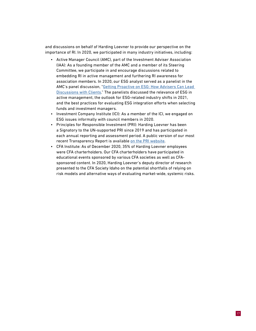and discussions on behalf of Harding Loevner to provide our perspective on the importance of RI. In 2020, we participated in many industry initiatives, including:

- Active Manager Council (AMC), part of the Investment Adviser Association (IAA): As a founding member of the AMC and a member of its Steering Committee, we participate in and encourage discussions related to embedding RI in active management and furthering RI awareness for association members. In 2020, our ESG analyst served as a panelist in the AMC's panel discussion, ["Getting Proactive on ESG: How Advisers Can Lead](https://www.investmentadviser.org/events/free-webinar-recordings/business-webinars)  [Discussions with Clients.](https://www.investmentadviser.org/events/free-webinar-recordings/business-webinars)" The panelists discussed the relevance of ESG in active management, the outlook for ESG-related industry shifts in 2021, and the best practices for evaluating ESG integration efforts when selecting funds and investment managers.
- Investment Company Institute (ICI): As a member of the ICI, we engaged on ESG issues informally with council members in 2020.
- Principles for Responsible Investment (PRI): Harding Loevner has been a Signatory to the UN-supported PRI since 2019 and has participated in each annual reporting and assessment period. A public version of our most recent Transparency Report is available [on the PRI website.](https://www.unpri.org/signatory-directory/harding-loevner-/4537.article)
- CFA Institute: As of December 2020, 35% of Harding Loevner employees were CFA charterholders. Our CFA charterholders have participated in educational events sponsored by various CFA societies as well as CFAsponsored content. In 2020, Harding Loevner's deputy director of research presented to the CFA Society Idaho on the potential shortfalls of relying on risk models and alternative ways of evaluating market-wide, systemic risks.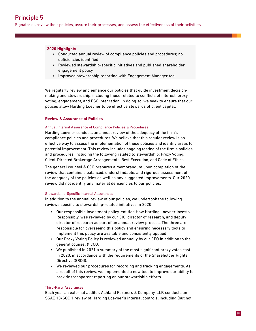Signatories review their policies, assure their processes, and assess the effectiveness of their activities.

### **2020 Highlights**

- Conducted annual review of compliance policies and procedures; no deficiencies identified
- Reviewed stewardship-specific initiatives and published shareholder engagement policy
- Improved stewardship reporting with Engagement Manager tool

We regularly review and enhance our policies that guide investment decisionmaking and stewardship, including those related to conflicts of interest, proxy voting, engagement, and ESG integration. In doing so, we seek to ensure that our polices allow Harding Loevner to be effective stewards of client capital.

### **Review & Assurance of Policies**

### Annual Internal Assurance of Compliance Policies & Procedures

Harding Loevner conducts an annual review of the adequacy of the firm's compliance policies and procedures. We believe that this regular review is an effective way to assess the implementation of these policies and identify areas for potential improvement. This review includes ongoing testing of the firm's policies and procedures, including the following related to stewardship: Proxy Voting, Client-Directed Brokerage Arrangements, Best Execution, and Code of Ethics.

The general counsel & CCO prepares a memorandum upon completion of the review that contains a balanced, understandable, and rigorous assessment of the adequacy of the policies as well as any suggested improvements. Our 2020 review did not identify any material deficiencies to our policies.

### Stewardship-Specific Internal Assurances

In addition to the annual review of our policies, we undertook the following reviews specific to stewardship-related initiatives in 2020:

- Our responsible investment policy, entitled How Harding Loevner Invests Responsibly, was reviewed by our CIO, director of research, and deputy director of research as part of an annual review process. The three are responsible for overseeing this policy and ensuring necessary tools to implement this policy are available and consistently applied.
- Our Proxy Voting Policy is reviewed annually by our CEO in addition to the general counsel & CCO.
- We published in 2021 a summary of the most significant proxy votes cast in 2020, in accordance with the requirements of the Shareholder Rights Directive (SRDII).
- We reviewed our procedures for recording and tracking engagements. As a result of this review, we implemented a new tool to improve our ability to provide transparent reporting on our stewardship efforts.

### Third-Party Assurances

Each year an external auditor, Ashland Partners & Company, LLP, conducts an SSAE 18/SOC 1 review of Harding Loevner's internal controls, including (but not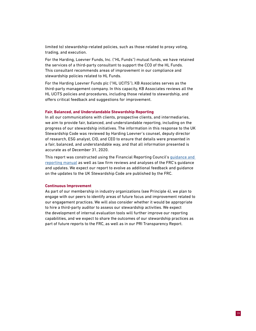limited to) stewardship-related policies, such as those related to proxy voting, trading, and execution.

For the Harding, Loevner Funds, Inc. ("HL Funds") mutual funds, we have retained the services of a third-party consultant to support the CCO of the HL Funds. This consultant recommends areas of improvement in our compliance and stewardship policies related to HL Funds.

For the Harding Loevner Funds plc ("HL UCITS"), KB Associates serves as the third-party management company. In this capacity, KB Associates reviews all the HL UCITS policies and procedures, including those related to stewardship, and offers critical feedback and suggestions for improvement.

### **Fair, Balanced, and Understandable Stewardship Reporting**

In all our communications with clients, prospective clients, and intermediaries, we aim to provide fair, balanced, and understandable reporting, including on the progress of our stewardship initiatives. The information in this response to the UK Stewardship Code was reviewed by Harding Loevner's counsel, deputy director of research, ESG analyst, CIO, and CEO to ensure that details were presented in a fair, balanced, and understandable way, and that all information presented is accurate as of December 31, 2020.

This report was constructed using the Financial Reporting Council's [guidance and](https://www.frc.org.uk/getattachment/5aae591d-d9d3-4cf4-814a-d14e156a1d87/Stewardship-Code_Final2.pdf)  [reporting manual](https://www.frc.org.uk/getattachment/5aae591d-d9d3-4cf4-814a-d14e156a1d87/Stewardship-Code_Final2.pdf) as well as law firm reviews and analyses of the FRC's guidance and updates. We expect our report to evolve as additional feedback and guidance on the updates to the UK Stewardship Code are published by the FRC.

### **Continuous Improvement**

As part of our membership in industry organizations (see Principle 4), we plan to engage with our peers to identify areas of future focus and improvement related to our engagement practices. We will also consider whether it would be appropriate to hire a third-party auditor to assess our stewardship activities. We expect the development of internal evaluation tools will further improve our reporting capabilities, and we expect to share the outcomes of our stewardship practices as part of future reports to the FRC, as well as in our PRI Transparency Report.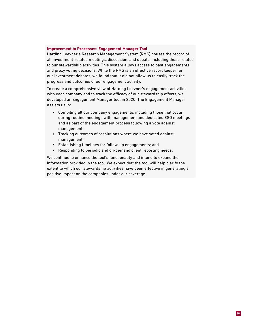### **Improvement to Processes: Engagement Manager Tool**

Harding Loevner's Research Management System (RMS) houses the record of all investment-related meetings, discussion, and debate, including those related to our stewardship activities. This system allows access to past engagements and proxy voting decisions. While the RMS is an effective recordkeeper for our investment debates, we found that it did not allow us to easily track the progress and outcomes of our engagement activity.

To create a comprehensive view of Harding Loevner's engagement activities with each company and to track the efficacy of our stewardship efforts, we developed an Engagement Manager tool in 2020. The Engagement Manager assists us in:

- Compiling all our company engagements, including those that occur during routine meetings with management and dedicated ESG meetings and as part of the engagement process following a vote against management;
- Tracking outcomes of resolutions where we have voted against management;
- Establishing timelines for follow-up engagements; and
- Responding to periodic and on-demand client reporting needs.

We continue to enhance the tool's functionality and intend to expand the information provided in the tool. We expect that the tool will help clarify the extent to which our stewardship activities have been effective in generating a positive impact on the companies under our coverage.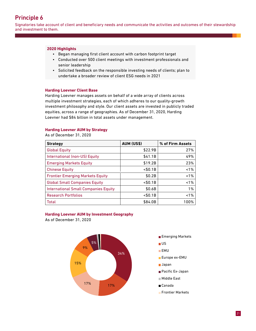### Principle 6

Signatories take account of client and beneficiary needs and communicate the activities and outcomes of their stewardship and investment to them.

### **2020 Highlights**

- Began managing first client account with carbon footprint target
- Conducted over 500 client meetings with investment professionals and senior leadership
- Solicited feedback on the responsible investing needs of clients; plan to undertake a broader review of client ESG needs in 2021

### **Harding Loevner Client Base**

Harding Loevner manages assets on behalf of a wide array of clients across multiple investment strategies, each of which adheres to our quality-growth investment philosophy and style. Our client assets are invested in publicly traded equities, across a range of geographies. As of December 31, 2020, Harding Loevner had \$84 billion in total assets under management.

### **Harding Loevner AUM by Strategy**

As of December 31, 2020

| <b>Strategy</b>                             | <b>AUM (US\$)</b> | % of Firm Assets |
|---------------------------------------------|-------------------|------------------|
| <b>Global Equity</b>                        | \$22.9B           | 27%              |
| International (non-US) Equity               | \$41.1B           | 49%              |
| <b>Emerging Markets Equity</b>              | \$19.2B           | 23%              |
| <b>Chinese Equity</b>                       | $<$ \$0.1B        | 1%               |
| <b>Frontier Emerging Markets Equity</b>     | \$0.2B            | 1%               |
| <b>Global Small Companies Equity</b>        | $<$ \$0.1B        | 1%               |
| <b>International Small Companies Equity</b> | \$0.6B            | 1%               |
| <b>Research Portfolios</b>                  | $<$ \$0.1B        | 1%               |
| Total                                       | \$84.0B           | 100%             |

### **Harding Loevner AUM by Investment Geography**

As of December 31, 2020 AUM by Investment Geography

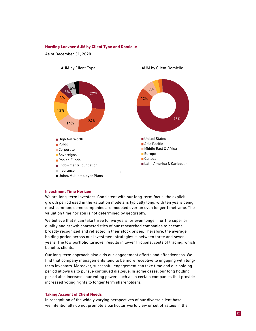### **Harding Loevner AUM by Client Type and Domicile**

As of December 31, 2020



### **Investment Time Horizon**

We are long-term investors. Consistent with our long-term focus, the explicit growth period used in the valuation models is typically long, with ten years being most common; some companies are modeled over an even longer timeframe. The valuation time horizon is not determined by geography.

We believe that it can take three to five years (or even longer) for the superior quality and growth characteristics of our researched companies to become broadly recognized and reflected in their stock prices. Therefore, the average holding period across our investment strategies is between three and seven years. The low portfolio turnover results in lower frictional costs of trading, which benefits clients.

Our long-term approach also aids our engagement efforts and effectiveness. We find that company managements tend to be more receptive to engaging with longterm investors. Moreover, successful engagement can take time and our holding period allows us to pursue continued dialogue. In some cases, our long holding period also increases our voting power, such as in certain companies that provide increased voting rights to longer term shareholders.

### **Taking Account of Client Needs**

In recognition of the widely varying perspectives of our diverse client base, we intentionally do not promote a particular world view or set of values in the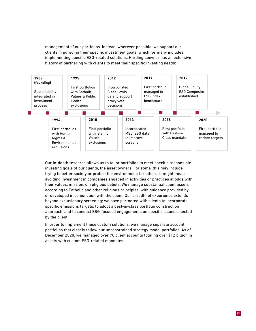management of our portfolios. Instead, wherever possible, we support our clients in pursuing their specific investment goals, which for many includes implementing specific ESG-related solutions. Harding Loevner has an extensive history of partnering with clients to meet their specific investing needs:



Our in-depth research allows us to tailor portfolios to meet specific responsible investing goals of our clients, the asset owners. For some, this may include trying to better society or protect the environment; for others, it might mean avoiding investment in companies engaged in activities or practices at odds with their values, mission, or religious beliefs. We manage substantial client assets according to Catholic and other religious principles, with guidance provided by or developed in conjunction with the client. Our breadth of experience extends beyond exclusionary screening; we have partnered with clients to incorporate specific emissions targets, to adopt a best-in-class portfolio construction approach, and to conduct ESG-focused engagements on specific issues selected by the client.

In order to implement these custom solutions, we manage separate account portfolios that closely follow our unconstrained strategy model portfolios. As of December 2020, we managed over 70 client accounts totaling over \$12 billion in assets with custom ESG-related mandates.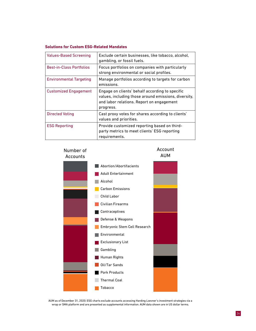### **Solutions for Custom ESG-Related Mandates**

| <b>Values-Based Screening</b>   | Exclude certain businesses, like tobacco, alcohol,<br>gambling, or fossil fuels.                                                                                  |
|---------------------------------|-------------------------------------------------------------------------------------------------------------------------------------------------------------------|
| <b>Best-in-Class Portfolios</b> | Focus portfolios on companies with particularly<br>strong environmental or social profiles.                                                                       |
| <b>Environmental Targeting</b>  | Manage portfolios according to targets for carbon<br>emissions.                                                                                                   |
| <b>Customized Engagement</b>    | Engage on clients' behalf according to specific<br>values, including those around emissions, diversity,<br>and labor relations. Report on engagement<br>progress. |
| <b>Directed Voting</b>          | Cast proxy votes for shares according to clients'<br>values and priorities.                                                                                       |
| <b>ESG Reporting</b>            | Provide customized reporting based on third-<br>party metrics to meet clients' ESG reporting<br>requirements.                                                     |

### Number of **Accounts**





AUM as of December 31, 2020; ESG charts exclude accounts accessing Harding Loevner's investment strategies via a wrap or SMA platform and are presented as supplemental information. AUM data shown are in US dollar terms.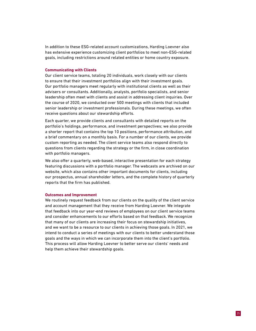In addition to these ESG-related account customizations, Harding Loevner also has extensive experience customizing client portfolios to meet non-ESG-related goals, including restrictions around related entities or home country exposure.

### **Communicating with Clients**

Our client service teams, totaling 20 individuals, work closely with our clients to ensure that their investment portfolios align with their investment goals. Our portfolio managers meet regularly with institutional clients as well as their advisers or consultants. Additionally, analysts, portfolio specialists, and senior leadership often meet with clients and assist in addressing client inquiries. Over the course of 2020, we conducted over 500 meetings with clients that included senior leadership or investment professionals. During these meetings, we often receive questions about our stewardship efforts.

Each quarter, we provide clients and consultants with detailed reports on the portfolio's holdings, performance, and investment perspectives; we also provide a shorter report that contains the top 10 positions, performance attribution, and a brief commentary on a monthly basis. For a number of our clients, we provide custom reporting as needed. The client service teams also respond directly to questions from clients regarding the strategy or the firm, in close coordination with portfolio managers.

We also offer a quarterly, web-based, interactive presentation for each strategy featuring discussions with a portfolio manager. The webcasts are archived on our website, which also contains other important documents for clients, including our prospectus, annual shareholder letters, and the complete history of quarterly reports that the firm has published.

### **Outcomes and Improvement**

We routinely request feedback from our clients on the quality of the client service and account management that they receive from Harding Loevner. We integrate that feedback into our year-end reviews of employees on our client service teams and consider enhancements to our efforts based on that feedback. We recognize that many of our clients are increasing their focus on stewardship initiatives, and we want to be a resource to our clients in achieving those goals. In 2021, we intend to conduct a series of meetings with our clients to better understand those goals and the ways in which we can incorporate them into the client's portfolio. This process will allow Harding Loevner to better serve our clients' needs and help them achieve their stewardship goals.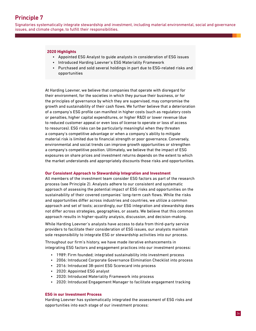### Principle 7

Signatories systematically integrate stewardship and investment, including material environmental, social and governance issues, and climate change, to fulfill their responsibilities.

### **2020 Highlights**

- Appointed ESG Analyst to guide analysts in consideration of ESG issues
- Introduced Harding Loevner's ESG Materiality Framework
- Purchased and sold several holdings in part due to ESG-related risks and opportunities

At Harding Loevner, we believe that companies that operate with disregard for their environment, for the societies in which they pursue their business, or for the principles of governance by which they are supervised, may compromise the growth and sustainability of their cash flows. We further believe that a deterioration of a company's ESG profile can manifest in higher costs (such as regulatory costs or penalties, higher capital expenditures, or higher R&D) or lower revenue (due to reduced customer appeal or even loss of license to operate or loss of access to resources). ESG risks can be particularly meaningful when they threaten a company's competitive advantage or when a company's ability to mitigate material risk is limited due to financial strength or poor governance. Conversely, environmental and social trends can improve growth opportunities or strengthen a company's competitive position. Ultimately, we believe that the impact of ESG exposures on share prices and investment returns depends on the extent to which the market understands and appropriately discounts those risks and opportunities.

### **Our Consistent Approach to Stewardship Integration and Investment**

All members of the investment team consider ESG factors as part of the research process (see Principle 2). Analysts adhere to our consistent and systematic approach of assessing the potential impact of ESG risks and opportunities on the sustainability of their covered companies' long-term cash flows. While the risks and opportunities differ across industries and countries, we utilize a common approach and set of tools; accordingly, our ESG integration and stewardship does not differ across strategies, geographies, or assets. We believe that this common approach results in higher-quality analysis, discussion, and decision-making.

While Harding Loevner's analysts have access to data from third-party service providers to facilitate their consideration of ESG issues, our analysts maintain sole responsibility to integrate ESG or stewardship activities into our process.

Throughout our firm's history, we have made iterative enhancements in integrating ESG factors and engagement practices into our investment process:

- 1989: Firm founded; integrated sustainability into investment process
- 2006: Introduced Corporate Governance Elimination Checklist into process
- 2016: Introduced 38-point ESG Scorecard into process
- 2020: Appointed ESG analyst
- 2020: Introduced Materiality Framework into process
- 2020: Introduced Engagement Manager to facilitate engagement tracking

### **ESG in our Investment Process**

Harding Loevner has systematically integrated the assessment of ESG risks and opportunities into each stage of our investment process: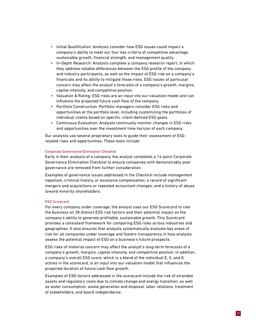- Initial Qualification: Analysts consider how ESG issues could impact a company's ability to meet our four key criteria of competitive advantage, sustainable growth, financial strength, and management quality.
- In-Depth Research: Analysts complete a company research report, in which they address notable differences between the ESG profile of the company and industry participants, as well as the impact of ESG risk on a company's financials and its ability to mitigate those risks. ESG issues of particular concern may affect the analyst's forecasts of a company's growth, margins, capital intensity, and competitive position.
- Valuation & Rating: ESG risks are an input into our valuation model and can influence the projected future cash flow of the company.
- Portfolio Construction: Portfolio managers consider ESG risks and opportunities at the portfolio level, including customizing the portfolios of individual clients based on specific, client-defined ESG goals.
- Continuous Evaluation: Analysts continually monitor changes in ESG risks and opportunities over the investment time horizon of each company.

Our analysts use several proprietary tools to guide their assessment of ESGrelated risks and opportunities. These tools include:

### Corporate Governance Elimination Checklist

Early in their analysis of a company, the analyst completes a 14-point Corporate Governance Elimination Checklist to ensure companies with demonstrably poor governance are removed from further consideration.

Examples of governance issues addressed in the Checklist include management nepotism, criminal history, or excessive compensation; a record of significant mergers and acquisitions or repeated accountant changes; and a history of abuse toward minority shareholders.

### ESG Scorecard

For every company under coverage, the analyst uses our ESG Scorecard to rate the business on 38 distinct ESG risk factors and their potential impact on the company's ability to generate profitable, sustainable growth. This Scorecard provides a consistent framework for comparing ESG risks across industries and geographies. It also ensures that analysts systematically evaluate key areas of risk for all companies under coverage and fosters transparency in how analysts assess the potential impact of ESG on a business's future prospects.

ESG risks of material concern may affect the analyst's long-term forecasts of a company's growth, margins, capital intensity, and competitive position. In addition, a company's overall ESG score, which is a blend of the individual E, S, and G scores in the scorecard, is an input into our valuation model that influences the projected duration of future cash flow growth.

Examples of ESG factors addressed in the scorecard include the risk of stranded assets and regulatory costs due to climate change and energy transition, as well as water consumption, waste generation and disposal, labor relations, treatment of stakeholders, and board independence.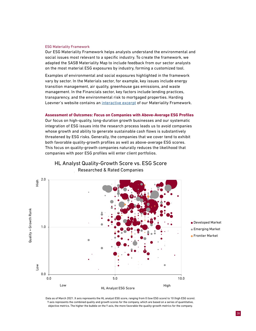### ESG Materiality Framework

Our ESG Materiality Framework helps analysts understand the environmental and social issues most relevant to a specific industry. To create the framework, we adapted the SASB Materiality Map to include feedback from our sector analysts on the most material ESG exposures by industry, forming a customized tool.

Examples of environmental and social exposures highlighted in the framework vary by sector. In the Materials sector, for example, key issues include energy transition management, air quality, greenhouse gas emissions, and waste management. In the Financials sector, key factors include lending practices, transparency, and the environmental risk to mortgaged properties. Harding Loevner's website contains an [interactive excerpt](https://www.hardingloevner.com/about-us/responsible-investing/) of our Materiality Framework.

### **Assessment of Outcomes: Focus on Companies with Above-Average ESG Profiles**

Our focus on high-quality, long-duration growth businesses and our systematic integration of ESG issues into the research process leads us to avoid companies whose growth and ability to generate sustainable cash flows is substantively threatened by ESG risks. Generally, the companies that we cover tend to exhibit both favorable quality-growth profiles as well as above-average ESG scores. This focus on quality-growth companies naturally reduces the likelihood that companies with poor ESG profiles will enter client portfolios.



HL Analyst Quality-Growth Score vs. ESG Score Researched & Rated Companies

Data as of March 2021. X axis represents the HL analyst ESG score, ranging from 0 (low ESG score) to 10 (high ESG score). Y axis represents the combined quality and growth scores for the company, which are based on a series of quantitative, objective metrics. The higher the bubble on the Y axis, the more favorable the quality-growth metrics for the company.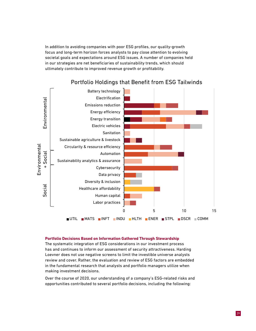In addition to avoiding companies with poor ESG profiles, our quality-growth focus and long-term horizon forces analysts to pay close attention to evolving societal goals and expectations around ESG issues. A number of companies held in our strategies are net beneficiaries of sustainability trends, which should ultimately contribute to improved revenue growth or profitability.



### Portfolio Holdings that Benefit from ESG Tailwinds

### **Portfolio Decisions Based on Information Gathered Through Stewardship**

The systematic integration of ESG considerations in our investment process has and continues to inform our assessment of security attractiveness. Harding Loevner does not use negative screens to limit the investible universe analysts review and cover. Rather, the evaluation and review of ESG factors are embedded in the fundamental research that analysts and portfolio managers utilize when making investment decisions.

Over the course of 2020, our understanding of a company's ESG-related risks and opportunities contributed to several portfolio decisions, including the following: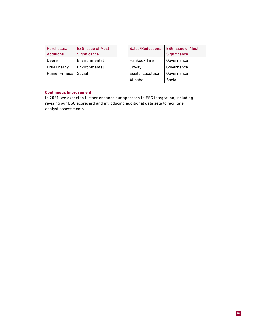| Purchases/            | <b>ESG Issue of Most</b> | Sales/Reductions    | <b>ESG</b> Issue of |
|-----------------------|--------------------------|---------------------|---------------------|
| <b>Additions</b>      | Significance             |                     | Significance        |
| Deere                 | Environmental            | <b>Hankook Tire</b> | Governance          |
| <b>ENN Energy</b>     | Environmental            | Coway               | Governance          |
| <b>Planet Fitness</b> | Social                   | EssilorLuxottica    | Governance          |
|                       |                          | Alibaba             | Social              |

| Sales/Reductions | <b>ESG Issue of Most</b> |  |
|------------------|--------------------------|--|
|                  | Significance             |  |
| Hankook Tire     | Governance               |  |
| Coway            | Governance               |  |
| EssilorLuxottica | Governance               |  |
| Alibaba          | Social                   |  |

### **Continuous Improvement**

In 2021, we expect to further enhance our approach to ESG integration, including revising our ESG scorecard and introducing additional data sets to facilitate analyst assessments.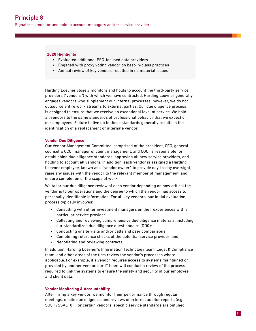Signatories monitor and hold to account managers and/or service providers.

### **2020 Highlights**

- Evaluated additional ESG-focused data providers
- Engaged with proxy voting vendor on best-in-class practices
- Annual review of key vendors resulted in no material issues

Harding Loevner closely monitors and holds to account the third-party service providers ("vendors") with which we have contracted. Harding Loevner generally engages vendors who supplement our internal processes; however, we do not outsource entire work streams to external parties. Our due diligence process is designed to ensure that we receive an exceptional level of service. We hold all vendors to the same standards of professional behavior that we expect of our employees. Failure to live up to these standards generally results in the identification of a replacement or alternate vendor.

### **Vendor Due Diligence**

Our Vendor Management Committee, comprised of the president, CFO, general counsel & CCO, manager of client management, and COO, is responsible for establishing due diligence standards, approving all new service providers, and holding to account all vendors. In addition, each vendor is assigned a Harding Loevner employee, known as a "vendor owner," to provide day-to-day oversight, raise any issues with the vendor to the relevant member of management, and ensure completion of the scope of work.

We tailor our due diligence review of each vendor depending on how critical the vendor is to our operations and the degree to which the vendor has access to personally identifiable information. For all key vendors, our initial evaluation process typically involves:

- Consulting with other investment managers on their experiences with a particular service provider;
- Collecting and reviewing comprehensive due diligence materials, including our standardized due diligence questionnaire (DDQ);
- Conducting onsite visits and/or calls and peer comparisons;
- Completing reference checks of the potential service provider; and
- Negotiating and reviewing contracts.

In addition, Harding Loevner's Information Technology team, Legal & Compliance team, and other areas of the firm review the vendor's processes where applicable. For example, if a vendor requires access to systems maintained or provided by another vendor, our IT team will conduct a review of the process required to link the systems to ensure the safety and security of our employee and client data.

### **Vendor Monitoring & Accountability**

After hiring a key vendor, we monitor their performance through regular meetings, onsite due diligence, and reviews of external auditor reports (e.g., SOC 1/SSAE18). For certain vendors, specific service standards are outlined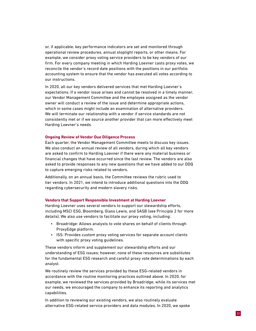or, if applicable, key performance indicators are set and monitored through operational review procedures, annual stoplight reports, or other means. For example, we consider proxy voting service providers to be key vendors of our firm. For every company meeting in which Harding Loevner casts proxy votes, we reconcile the vendor's record date positions with the positions in our portfolio accounting system to ensure that the vendor has executed all votes according to our instructions.

In 2020, all our key vendors delivered services that met Harding Loevner's expectations. If a vendor issue arises and cannot be resolved in a timely manner, our Vendor Management Committee and the employee assigned as the vendor owner will conduct a review of the issue and determine appropriate actions, which in some cases might include an examination of alternative providers. We will terminate our relationship with a vendor if service standards are not consistently met or if we source another provider that can more effectively meet Harding Loevner's needs.

### **Ongoing Review of Vendor Due Diligence Process**

Each quarter, the Vendor Management Committee meets to discuss key issues. We also conduct an annual review of all vendors, during which all key vendors are asked to confirm to Harding Loevner if there were any material business or financial changes that have occurred since the last review. The vendors are also asked to provide responses to any new questions that we have added to our DDQ to capture emerging risks related to vendors.

Additionally, on an annual basis, the Committee reviews the rubric used to tier vendors. In 2021, we intend to introduce additional questions into the DDQ regarding cybersecurity and modern slavery risks.

### **Vendors that Support Responsible Investment at Harding Loevner**

Harding Loevner uses several vendors to support our stewardship efforts, including MSCI ESG, Bloomberg, Glass Lewis, and SASB (see Principle 2 for more details). We also use vendors to facilitate our proxy voting, including:

- Broadridge: Allows analysts to vote shares on behalf of clients through ProxyEdge platform.
- ISS: Provides custom proxy voting services for separate account clients with specific proxy voting guidelines.

These vendors inform and supplement our stewardship efforts and our understanding of ESG issues; however, none of these resources are substitutes for the fundamental ESG research and careful proxy vote determinations by each analyst.

We routinely review the services provided by these ESG-related vendors in accordance with the routine monitoring practices outlined above. In 2020, for example, we reviewed the services provided by Broadridge; while its services met our needs, we encouraged the company to enhance its reporting and analytics capabilities.

In addition to reviewing our existing vendors, we also routinely evaluate alternative ESG-related service providers and data modules. In 2020, we spoke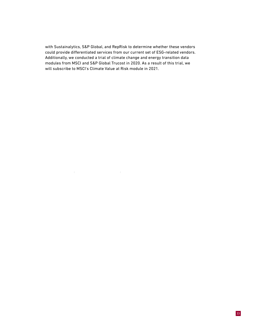with Sustainalytics, S&P Global, and RepRisk to determine whether these vendors could provide differentiated services from our current set of ESG-related vendors. Additionally, we conducted a trial of climate change and energy transition data modules from MSCI and S&P Global Trucost in 2020. As a result of this trial, we will subscribe to MSCI's Climate Value at Risk module in 2021.

 $\sim 10^5$ 

 $\sim 1$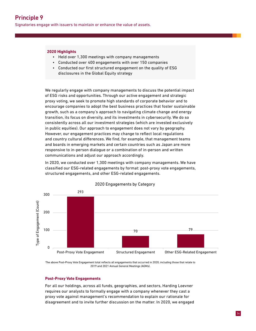Signatories engage with issuers to maintain or enhance the value of assets.

### **2020 Highlights**

- Held over 1,300 meetings with company managements
- Conducted over 400 engagements with over 150 companies
- Conducted our first structured engagement on the quality of ESG disclosures in the Global Equity strategy

We regularly engage with company managements to discuss the potential impact of ESG risks and opportunities. Through our active engagement and strategic proxy voting, we seek to promote high standards of corporate behavior and to encourage companies to adopt the best business practices that foster sustainable growth, such as a company's approach to navigating climate change and energy transition, its focus on diversity, and its investments in cybersecurity. We do so consistently across all our investment strategies (which are invested exclusively in public equities). Our approach to engagement does not vary by geography. However, our engagement practices may change to reflect local regulations and country cultural differences. We find, for example, that management teams and boards in emerging markets and certain countries such as Japan are more responsive to in-person dialogue or a combination of in-person and written communications and adjust our approach accordingly.

In 2020, we conducted over 1,300 meetings with company managements. We have classified our ESG-related engagements by format: post-proxy vote engagements, structured engagements, and other ESG-related engagements.



2020 Engagements by Category

The above Post-Proxy Vote Engagement total reflects all engagements that occurred in 2020, including those that relate to 2019 and 2021 Annual General Meetings (AGMs).

### **Post-Proxy Vote Engagements**

For all our holdings, across all funds, geographies, and sectors, Harding Loevner requires our analysts to formally engage with a company whenever they cast a proxy vote against management's recommendation to explain our rationale for disagreement and to invite further discussion on the matter. In 2020, we engaged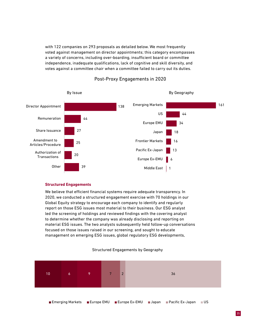with 122 companies on 293 proposals as detailed below. We most frequently voted against management on director appointments; this category encompasses a variety of concerns, including over-boarding, insufficient board or committee independence, inadequate qualifications, lack of cognitive and skill diversity, and votes against a committee chair when a committee failed to carry out its duties.



### Post-Proxy Engagements in 2020

### **Structured Engagements**

We believe that efficient financial systems require adequate transparency. In 2020, we conducted a structured engagement exercise with 70 holdings in our Global Equity strategy to encourage each company to identify and regularly report on those ESG issues most material to their business. Our ESG analyst led the screening of holdings and reviewed findings with the covering analyst to determine whether the company was already disclosing and reporting on material ESG issues. The two analysts subsequently held follow-up conversations focused on those issues raised in our screening, and sought to educate management on emerging ESG issues, global regulatory ESG developments,

### Structured Engagements by Geography



Emerging Markets Europe EMU Europe Ex-EMU Japan Pacific Ex-Japan US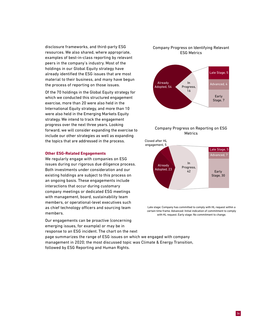disclosure frameworks, and third-party ESG resources. We also shared, where appropriate, examples of best-in-class reporting by relevant peers in the company's industry. Most of the holdings in our Global Equity strategy have already identified the ESG issues that are most material to their business, and many have begun the process of reporting on those issues.

Of the 70 holdings in the Global Equity strategy for which we conducted this structured engagement exercise, more than 20 were also held in the International Equity strategy, and more than 10 were also held in the Emerging Markets Equity strategy. We intend to track the engagement progress over the next three years. Looking forward, we will consider expanding the exercise to include our other strategies as well as expanding the topics that are addressed in the process.

### **Other ESG-Related Engagements**

We regularly engage with companies on ESG issues during our rigorous due diligence process. Both investments under consideration and our existing holdings are subject to this process on an ongoing basis. These engagements include interactions that occur during customary company meetings or dedicated ESG meetings with management, board, sustainability team members, or operational-level executives such as chief technology officers and sourcing team members.

Our engagements can be proactive (concerning emerging issues, for example) or may be in response to an ESG incident. The chart on the next

### Company Progress on Identifying Relevant ESG Metrics



### Company Progress on Reporting on ESG Metrics

Closed after HL engagement, 5



Late stage: Company has committed to comply with HL request within a certain time frame. Advanced: Initial indication of commitment to comply with HL request. Early stage: No commitment to change.

page summarizes the range of ESG issues on which we engaged with company management in 2020; the most discussed topic was Climate & Energy Transition, followed by ESG Reporting and Human Rights.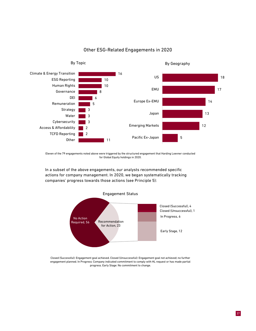

### Other ESG-Related Engagements in 2020

Eleven of the 79 engagements noted above were triggered by the structured engagement that Harding Loevner conducted for Global Equity holdings in 2020.

In a subset of the above engagements, our analysts recommended specific actions for company management. In 2020, we began systematically tracking companies' progress towards those actions (see Principle 5):



Closed (Successful): Engagement goal achieved. Closed (Unsuccessful): Engagement goal not achieved; no further engagement planned. In Progress: Company indicated commitment to comply with HL request or has made partial progress. Early Stage: No commitment to change.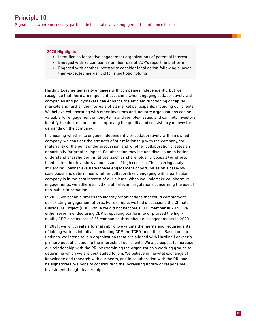Signatories, where necessary, participate in collaborative engagement to influence issuers.

### **2020 Highlights**

- Identified collaborative engagement organizations of potential interest
- Engaged with 28 companies on their use of CDP's reporting platform
- Engaged with another investor to consider legal action following a lowerthan-expected merger bid for a portfolio holding

Harding Loevner generally engages with companies independently, but we recognize that there are important occasions when engaging collaboratively with companies and policymakers can enhance the efficient functioning of capital markets and further the interests of all market participants, including our clients. We believe collaborating with other investors and industry organizations can be valuable for engagement on long-term and complex issues and can help investors identify the desired outcomes, improving the quality and consistency of investor demands on the company.

In choosing whether to engage independently or collaboratively with an owned company, we consider the strength of our relationship with the company, the materiality of the point under discussion, and whether collaboration creates an opportunity for greater impact. Collaboration may include discussion to better understand shareholder initiatives (such as shareholder proposals) or efforts to educate other investors about issues of high concern. The covering analyst at Harding Loevner evaluates these engagement opportunities on a case-bycase basis and determines whether collaboratively engaging with a particular company is in the best interest of our clients. When we undertake collaborative engagements, we adhere strictly to all relevant regulations concerning the use of non-public information.

In 2020, we began a process to identify organizations that could complement our existing engagement efforts. For example, we had discussions the Climate Disclosure Project (CDP). While we did not become a CDP member in 2020, we either recommended using CDP's reporting platform to or praised the highquality CDP disclosures of 28 companies throughout our engagements in 2020.

In 2021, we will create a formal rubric to evaluate the merits and requirements of joining various initiatives, including CDP, the TCFD, and others. Based on our findings, we intend to join organizations that are aligned with Harding Loevner's primary goal of protecting the interests of our clients. We also expect to increase our relationship with the PRI by examining the organization's working groups to determine which we are best suited to join. We believe in the vital exchange of knowledge and research with our peers, and in collaboration with the PRI and its signatories, we hope to contribute to the increasing library of responsible investment thought leadership.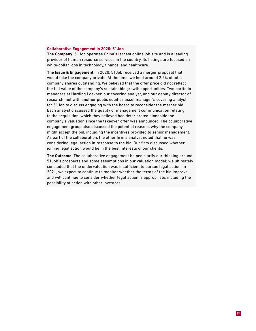### **Collaborative Engagement in 2020: 51Job**

**The Company**: 51Job operates China's largest online job site and is a leading provider of human resource services in the country. Its listings are focused on white-collar jobs in technology, finance, and healthcare.

**The Issue & Engagement**: In 2020, 51Job received a merger proposal that would take the company private. At the time, we held around 2.5% of total company shares outstanding. We believed that the offer price did not reflect the full value of the company's sustainable growth opportunities. Two portfolio managers at Harding Loevner, our covering analyst, and our deputy director of research met with another public equities asset manager's covering analyst for 51Job to discuss engaging with the board to reconsider the merger bid. Each analyst discussed the quality of management communication relating to the acquisition, which they believed had deteriorated alongside the company's valuation since the takeover offer was announced. The collaborative engagement group also discussed the potential reasons why the company might accept the bid, including the incentives provided to senior management. As part of the collaboration, the other firm's analyst noted that he was considering legal action in response to the bid. Our firm discussed whether joining legal action would be in the best interests of our clients.

**The Outcome**: The collaborative engagement helped clarify our thinking around 51Job's prospects and some assumptions in our valuation model; we ultimately concluded that the undervaluation was insufficient to pursue legal action. In 2021, we expect to continue to monitor whether the terms of the bid improve, and will continue to consider whether legal action is appropriate, including the possibility of action with other investors.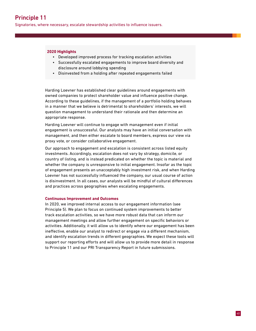Signatories, where necessary, escalate stewardship activities to influence issuers.

### **2020 Highlights**

- Developed improved process for tracking escalation activities
- Successfully escalated engagements to improve board diversity and disclosure around lobbying spending
- Disinvested from a holding after repeated engagements failed

Harding Loevner has established clear guidelines around engagements with owned companies to protect shareholder value and influence positive change. According to these guidelines, if the management of a portfolio holding behaves in a manner that we believe is detrimental to shareholders' interests, we will question management to understand their rationale and then determine an appropriate response.

Harding Loevner will continue to engage with management even if initial engagement is unsuccessful. Our analysts may have an initial conversation with management, and then either escalate to board members, express our view via proxy vote, or consider collaborative engagement.

Our approach to engagement and escalation is consistent across listed equity investments. Accordingly, escalation does not vary by strategy, domicile, or country of listing, and is instead predicated on whether the topic is material and whether the company is unresponsive to initial engagement. Insofar as the topic of engagement presents an unacceptably high investment risk, and when Harding Loevner has not successfully influenced the company, our usual course of action is disinvestment. In all cases, our analysts will be mindful of cultural differences and practices across geographies when escalating engagements.

### **Continuous Improvement and Outcomes**

In 2020, we improved internal access to our engagement information (see Principle 5). We plan to focus on continued system improvements to better track escalation activities, so we have more robust data that can inform our management meetings and allow further engagement on specific behaviors or activities. Additionally, it will allow us to identify where our engagement has been ineffective, enable our analyst to redirect or engage via a different mechanism, and identify escalation trends in different geographies. We expect these tools will support our reporting efforts and will allow us to provide more detail in response to Principle 11 and our PRI Transparency Report in future submissions.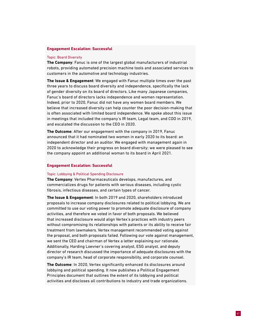### **Engagement Escalation: Successful**

#### Topic: Board Diversity

**The Company**: Fanuc is one of the largest global manufacturers of industrial robots, providing automated precision machine tools and associated services to customers in the automotive and technology industries.

**The Issue & Engagement**: We engaged with Fanuc multiple times over the past three years to discuss board diversity and independence, specifically the lack of gender diversity on its board of directors. Like many Japanese companies, Fanuc's board of directors lacks independence and women representation. Indeed, prior to 2020, Fanuc did not have any women board members. We believe that increased diversity can help counter the poor decision-making that is often associated with limited board independence. We spoke about this issue in meetings that included the company's IR team, Legal team, and COO in 2019, and escalated the discussion to the CEO in 2020.

**The Outcome**: After our engagement with the company in 2019, Fanuc announced that it had nominated two women in early 2020 to its board: an independent director and an auditor. We engaged with management again in 2020 to acknowledge their progress on board diversity; we were pleased to see the company appoint an additional woman to its board in April 2021.

### **Engagement Escalation: Successful**

### Topic: Lobbying & Political Spending Disclosure

**The Company**: Vertex Pharmaceuticals develops, manufactures, and commercializes drugs for patients with serious diseases, including cystic fibrosis, infectious diseases, and certain types of cancer.

**The Issue & Engagement**: In both 2019 and 2020, shareholders introduced proposals to increase company disclosures related to political lobbying. We are committed to use our voting power to promote adequate disclosure of company activities, and therefore we voted in favor of both proposals. We believed that increased disclosure would align Vertex's practices with industry peers without compromising its relationships with patients or its ability to receive fair treatment from lawmakers. Vertex management recommended voting against the proposal, and both proposals failed. Following our vote against management, we sent the CEO and chairman of Vertex a letter explaining our rationale. Additionally, Harding Loevner's covering analyst, ESG analyst, and deputy director of research discussed the importance of adequate disclosures with the company's IR team, head of corporate responsibility, and corporate counsel.

**The Outcome**: In 2020, Vertex significantly enhanced its disclosures around lobbying and political spending. It now publishes a Political Engagement Principles document that outlines the extent of its lobbying and political activities and discloses all contributions to industry and trade organizations.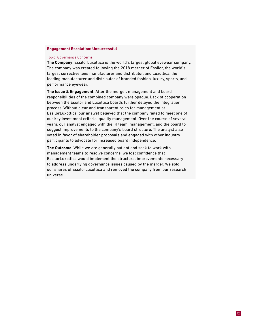### **Engagement Escalation: Unsuccessful**

### Topic: Governance Concerns

**The Company**: EssilorLuxottica is the world's largest global eyewear company. The company was created following the 2018 merger of Essilor, the world's largest corrective lens manufacturer and distributor, and Luxottica, the leading manufacturer and distributor of branded fashion, luxury, sports, and performance eyewear.

**The Issue & Engagement**: After the merger, management and board responsibilities of the combined company were opaque. Lack of cooperation between the Essilor and Luxottica boards further delayed the integration process. Without clear and transparent roles for management at EssilorLuxottica, our analyst believed that the company failed to meet one of our key investment criteria: quality management. Over the course of several years, our analyst engaged with the IR team, management, and the board to suggest improvements to the company's board structure. The analyst also voted in favor of shareholder proposals and engaged with other industry participants to advocate for increased board independence.

**The Outcome**: While we are generally patient and seek to work with management teams to resolve concerns, we lost confidence that EssilorLuxottica would implement the structural improvements necessary to address underlying governance issues caused by the merger. We sold our shares of EssilorLuxottica and removed the company from our research universe.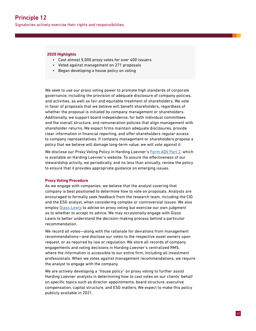### **2020 Highlights**

- Cast almost 5,000 proxy votes for over 400 issuers
- Voted against management on 271 proposals
- Began developing a house policy on voting

We seek to use our proxy voting power to promote high standards of corporate governance, including the provision of adequate disclosure of company policies, and activities, as well as fair and equitable treatment of shareholders. We vote in favor of proposals that we believe will benefit shareholders, regardless of whether the proposal is initiated by company management or shareholders. Additionally, we support board independence, for both individual committees and the overall structure, and remuneration policies that align management with shareholder returns. We expect firms maintain adequate disclosures, provide clear information in financial reporting, and offer shareholders regular access to company representatives. If company management or shareholders propose a policy that we believe will damage long-term value, we will vote against it.

We disclose our Proxy Voting Policy in Harding Loevner's [Form ADV Part 2](https://media.hardingloevner.com/fileadmin/pdf/HL-Form-ADV.pdf), which is available on Harding Loevner's website. To assure the effectiveness of our stewardship activity, we periodically, and no less than annually, review the policy to ensure that it provides appropriate guidance on emerging issues.

### **Proxy Voting Procedure**

As we engage with companies, we believe that the analyst covering that company is best positioned to determine how to vote on proposals. Analysts are encouraged to formally seek feedback from the research team, including the CIO and the ESG analyst, when considering complex or controversial issues. We also employ [Glass Lewis](http://www.glasslewis.com/) to advise on proxy voting but exercise our own judgment as to whether to accept its advice. We may occasionally engage with Glass Lewis to better understand the decision-making process behind a particular recommendation.

We record all votes—along with the rationale for deviations from management recommendations—and disclose our votes to the respective asset owners upon request, or as required by law or regulation. We store all records of company engagements and voting decisions in Harding Loevner's centralized RMS, where the information is accessible to our entire firm, including all investment professionals. When we votes against management recommendations, we require the analyst to engage with the company.

We are actively developing a "house policy" on proxy voting to further assist Harding Loevner analysts in determining how to cast votes on our clients' behalf on specific topics such as director appointments, board structure, executive compensation, capital structure, and ESG matters. We expect to make this policy publicly available in 2021.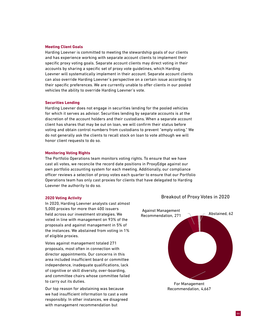### **Meeting Client Goals**

Harding Loevner is committed to meeting the stewardship goals of our clients and has experience working with separate account clients to implement their specific proxy voting goals. Separate account clients may direct voting in their accounts by sharing a specific set of proxy vote guidelines, which Harding Loevner will systematically implement in their account. Separate account clients can also override Harding Loevner's perspective on a certain issue according to their specific preferences. We are currently unable to offer clients in our pooled vehicles the ability to override Harding Loevner's vote.

### **Securities Lending**

Harding Loevner does not engage in securities lending for the pooled vehicles for which it serves as advisor. Securities lending by separate accounts is at the discretion of the account holders and their custodians. When a separate account client has shares that may be out on loan, we will confirm their status before voting and obtain control numbers from custodians to prevent "empty voting." We do not generally ask the clients to recall stock on loan to vote although we will honor client requests to do so.

### **Monitoring Voting Rights**

The Portfolio Operations team monitors voting rights. To ensure that we have cast all votes, we reconcile the record date positions in ProxyEdge against our own portfolio accounting system for each meeting. Additionally, our compliance officer reviews a selection of proxy votes each quarter to ensure that our Portfolio Operations team has only cast proxies for clients that have delegated to Harding Loevner the authority to do so.

### **2020 Voting Activity**

In 2020, Harding Loevner analysts cast almost 5,000 proxies for more than 400 issuers held across our investment strategies. We voted in line with management on 93% of the proposals and against management in 5% of the instances. We abstained from voting in 1% of eligible proxies.

Votes against management totaled 271 proposals, most often in connection with director appointments. Our concerns in this area included insufficient board or committee independence, inadequate qualifications, lack of cognitive or skill diversity, over-boarding, and committee chairs whose committee failed to carry out its duties.

Our top reason for abstaining was because we had insufficient information to cast a vote responsibly. In other instances, we disagreed with management recommendation but

### Breakout of Proxy Votes in 2020



Recommendation, 4,667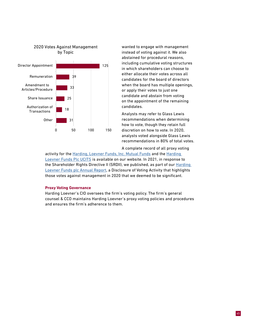

wanted to engage with management instead of voting against it. We also abstained for procedural reasons, including cumulative voting structures in which shareholders can choose to either allocate their votes across all candidates for the board of directors when the board has multiple openings, or apply their votes to just one candidate and abstain from voting on the appointment of the remaining candidates.

Analysts may refer to Glass Lewis recommendations when determining how to vote, though they retain full discretion on how to vote. In 2020, analysts voted alongside Glass Lewis recommendations in 80% of total votes.

A complete record of all proxy voting

activity for the [Harding, Loevner Funds, Inc. Mutual Funds](https://media.hardingloevner.com/fileadmin/pdf/HLF/HLF-Proxy-Voting-Report.pdf) and the Harding [Loevner Funds Plc UCITS](https://media.hardingloevner.com/fileadmin/pdf/PLC/HLF-PLC-Proxy-Voting-Report-2020.pdf) is available on our website. In 2021, in response to the Shareholder Rights Directive II (SRDII), we published, as part of our **Harding** [Loevner Funds plc Annual Report](https://media.hardingloevner.com/fileadmin/pdf/PLC/Annual-Financials-2021.pdf), a Disclosure of Voting Activity that highlights those votes against management in 2020 that we deemed to be significant.

### **Proxy Voting Governance**

Harding Loevner's CIO oversees the firm's voting policy. The firm's general counsel & CCO maintains Harding Loevner's proxy voting policies and procedures and ensures the firm's adherence to them.